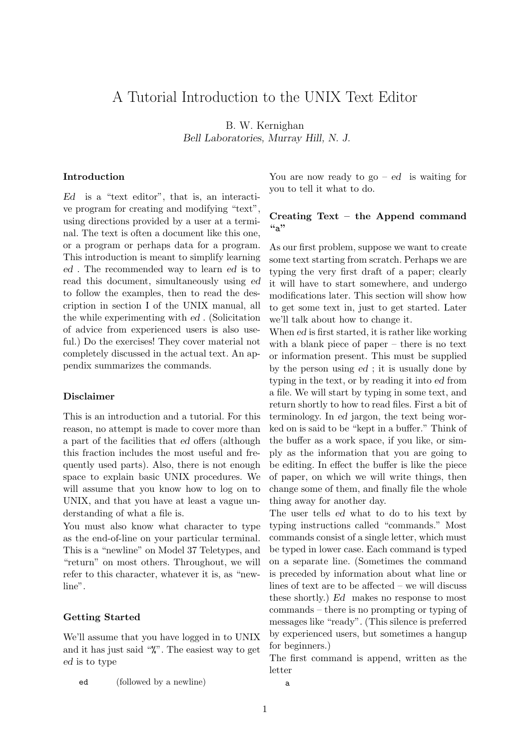# A Tutorial Introduction to the UNIX Text Editor

B. W. Kernighan Bell Laboratories, Murray Hill, N. J.

#### Introduction

Ed is a "text editor", that is, an interactive program for creating and modifying "text", using directions provided by a user at a terminal. The text is often a document like this one, or a program or perhaps data for a program. This introduction is meant to simplify learning ed . The recommended way to learn ed is to read this document, simultaneously using ed to follow the examples, then to read the description in section I of the UNIX manual, all the while experimenting with ed . (Solicitation of advice from experienced users is also useful.) Do the exercises! They cover material not completely discussed in the actual text. An appendix summarizes the commands.

#### Disclaimer

This is an introduction and a tutorial. For this reason, no attempt is made to cover more than a part of the facilities that ed offers (although this fraction includes the most useful and frequently used parts). Also, there is not enough space to explain basic UNIX procedures. We will assume that you know how to log on to UNIX, and that you have at least a vague understanding of what a file is.

You must also know what character to type as the end-of-line on your particular terminal. This is a "newline" on Model 37 Teletypes, and "return" on most others. Throughout, we will refer to this character, whatever it is, as "newline".

#### Getting Started

We'll assume that you have logged in to UNIX and it has just said "%". The easiest way to get ed is to type

ed (followed by a newline)

You are now ready to  $\text{go} - \text{ed}$  is waiting for you to tell it what to do.

### Creating Text – the Append command  $``a"$

As our first problem, suppose we want to create some text starting from scratch. Perhaps we are typing the very first draft of a paper; clearly it will have to start somewhere, and undergo modifications later. This section will show how to get some text in, just to get started. Later we'll talk about how to change it.

When ed is first started, it is rather like working with a blank piece of paper – there is no text or information present. This must be supplied by the person using ed ; it is usually done by typing in the text, or by reading it into ed from a file. We will start by typing in some text, and return shortly to how to read files. First a bit of terminology. In ed jargon, the text being worked on is said to be "kept in a buffer." Think of the buffer as a work space, if you like, or simply as the information that you are going to be editing. In effect the buffer is like the piece of paper, on which we will write things, then change some of them, and finally file the whole thing away for another day.

The user tells ed what to do to his text by typing instructions called "commands." Most commands consist of a single letter, which must be typed in lower case. Each command is typed on a separate line. (Sometimes the command is preceded by information about what line or lines of text are to be affected – we will discuss these shortly.) Ed makes no response to most commands – there is no prompting or typing of messages like "ready". (This silence is preferred by experienced users, but sometimes a hangup for beginners.)

The first command is append, written as the letter

a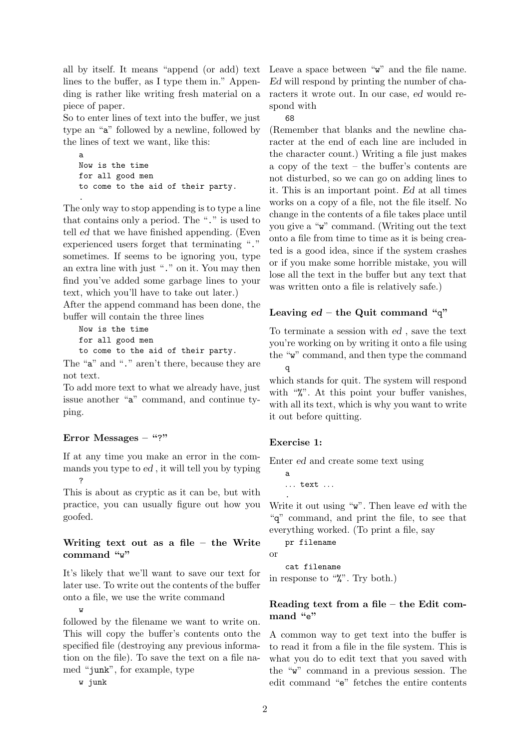all by itself. It means "append (or add) text lines to the buffer, as I type them in." Appending is rather like writing fresh material on a piece of paper.

So to enter lines of text into the buffer, we just type an "a" followed by a newline, followed by the lines of text we want, like this:

```
a
Now is the time
for all good men
to come to the aid of their party.
.
```
The only way to stop appending is to type a line that contains only a period. The "." is used to tell ed that we have finished appending. (Even experienced users forget that terminating "." sometimes. If seems to be ignoring you, type an extra line with just "." on it. You may then find you've added some garbage lines to your text, which you'll have to take out later.)

After the append command has been done, the buffer will contain the three lines

```
Now is the time
for all good men
to come to the aid of their party.
```
The "a" and "." aren't there, because they are not text.

To add more text to what we already have, just issue another "a" command, and continue typing.

### Error Messages – "?"

If at any time you make an error in the commands you type to ed , it will tell you by typing ?

This is about as cryptic as it can be, but with practice, you can usually figure out how you goofed.

# Writing text out as a file – the Write command "w"

It's likely that we'll want to save our text for later use. To write out the contents of the buffer onto a file, we use the write command

w

followed by the filename we want to write on. This will copy the buffer's contents onto the specified file (destroying any previous information on the file). To save the text on a file named "junk", for example, type

w junk

Leave a space between "w" and the file name. Ed will respond by printing the number of characters it wrote out. In our case, ed would respond with

68

(Remember that blanks and the newline character at the end of each line are included in the character count.) Writing a file just makes a copy of the text – the buffer's contents are not disturbed, so we can go on adding lines to it. This is an important point. Ed at all times works on a copy of a file, not the file itself. No change in the contents of a file takes place until you give a "w" command. (Writing out the text onto a file from time to time as it is being created is a good idea, since if the system crashes or if you make some horrible mistake, you will lose all the text in the buffer but any text that was written onto a file is relatively safe.)

# Leaving  $ed$  – the Quit command "q"

To terminate a session with ed , save the text you're working on by writing it onto a file using the "w" command, and then type the command q

which stands for quit. The system will respond with "%". At this point your buffer vanishes, with all its text, which is why you want to write it out before quitting.

# Exercise 1:

Enter ed and create some text using

```
a
. . . text . . .
.
```
Write it out using "w". Then leave ed with the "q" command, and print the file, to see that everything worked. (To print a file, say

pr filename or

cat filename in response to "%". Try both.)

# Reading text from a file – the Edit command "e"

A common way to get text into the buffer is to read it from a file in the file system. This is what you do to edit text that you saved with the "w" command in a previous session. The edit command "e" fetches the entire contents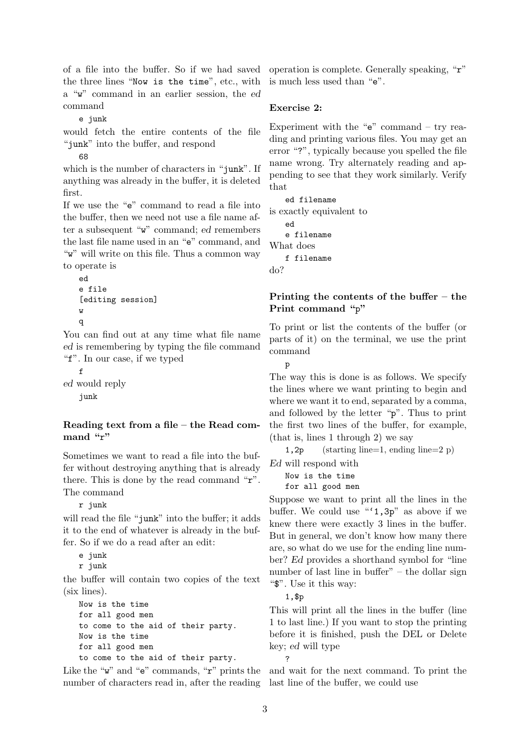of a file into the buffer. So if we had saved operation is complete. Generally speaking, "r" the three lines "Now is the time", etc., with a "w" command in an earlier session, the ed command

e junk

68

would fetch the entire contents of the file "junk" into the buffer, and respond

which is the number of characters in "junk". If anything was already in the buffer, it is deleted first.

If we use the "e" command to read a file into the buffer, then we need not use a file name after a subsequent "w" command; ed remembers the last file name used in an "e" command, and "w" will write on this file. Thus a common way to operate is

```
ed
e file
[editing session]
w
q
```
You can find out at any time what file name ed is remembering by typing the file command "f". In our case, if we typed

f ed would reply junk

#### Reading text from a file – the Read command "r"

Sometimes we want to read a file into the buffer without destroying anything that is already there. This is done by the read command " $\mathbf{r}$ ". The command

r junk

will read the file "junk" into the buffer; it adds it to the end of whatever is already in the buffer. So if we do a read after an edit:

e junk

r junk

the buffer will contain two copies of the text (six lines).

```
Now is the time
for all good men
to come to the aid of their party.
Now is the time
for all good men
to come to the aid of their party.
```
Like the "w" and "e" commands, "r" prints the and wait for the next command. To print the number of characters read in, after the reading last line of the buffer, we could use

is much less used than "e".

### Exercise 2:

Experiment with the " $e$ " command – try reading and printing various files. You may get an error "?", typically because you spelled the file name wrong. Try alternately reading and appending to see that they work similarly. Verify that

```
ed filename
```
is exactly equivalent to ed e filename What does f filename do?

# Printing the contents of the buffer – the Print command "p"

To print or list the contents of the buffer (or parts of it) on the terminal, we use the print command

p

The way this is done is as follows. We specify the lines where we want printing to begin and where we want it to end, separated by a comma, and followed by the letter "p". Thus to print the first two lines of the buffer, for example, (that is, lines 1 through 2) we say

1,2p (starting line=1, ending line=2 p) Ed will respond with Now is the time for all good men

Suppose we want to print all the lines in the buffer. We could use " $'1,3p'$  as above if we knew there were exactly 3 lines in the buffer. But in general, we don't know how many there are, so what do we use for the ending line number? Ed provides a shorthand symbol for "line number of last line in buffer" – the dollar sign "\$". Use it this way:

1,\$p

This will print all the lines in the buffer (line 1 to last line.) If you want to stop the printing before it is finished, push the DEL or Delete key; ed will type

?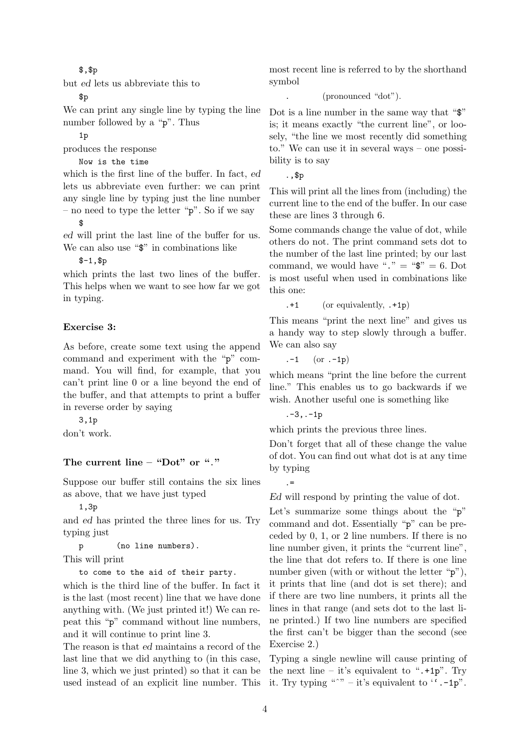#### \$,\$p

but ed lets us abbreviate this to

#### $$p$

We can print any single line by typing the line number followed by a "p". Thus

1p

produces the response

Now is the time

which is the first line of the buffer. In fact, ed lets us abbreviate even further: we can print any single line by typing just the line number – no need to type the letter " $p$ ". So if we say \$

ed will print the last line of the buffer for us. We can also use "\$" in combinations like

 $$-1, $p$ 

which prints the last two lines of the buffer. This helps when we want to see how far we got in typing.

#### Exercise 3:

As before, create some text using the append command and experiment with the "p" command. You will find, for example, that you can't print line 0 or a line beyond the end of the buffer, and that attempts to print a buffer in reverse order by saying

3,1p

don't work.

# The current line – "Dot" or "."

Suppose our buffer still contains the six lines as above, that we have just typed

1,3p

and ed has printed the three lines for us. Try typing just

p (no line numbers).

This will print

to come to the aid of their party.

which is the third line of the buffer. In fact it is the last (most recent) line that we have done anything with. (We just printed it!) We can repeat this "p" command without line numbers, and it will continue to print line 3.

The reason is that ed maintains a record of the last line that we did anything to (in this case, line 3, which we just printed) so that it can be used instead of an explicit line number. This most recent line is referred to by the shorthand symbol

. (pronounced "dot").

Dot is a line number in the same way that "\$" is; it means exactly "the current line", or loosely, "the line we most recently did something to." We can use it in several ways – one possibility is to say

.,\$p

This will print all the lines from (including) the current line to the end of the buffer. In our case these are lines 3 through 6.

Some commands change the value of dot, while others do not. The print command sets dot to the number of the last line printed; by our last command, we would have " $\cdot$ " = " $\cdot$ "" = 6. Dot is most useful when used in combinations like this one:

.+1 (or equivalently, .+1p)

This means "print the next line" and gives us a handy way to step slowly through a buffer. We can also say

 $-1$  (or  $-1p$ )

which means "print the line before the current line." This enables us to go backwards if we wish. Another useful one is something like

```
.-3,.-1p
```
which prints the previous three lines.

Don't forget that all of these change the value of dot. You can find out what dot is at any time by typing

.=

Ed will respond by printing the value of dot.

Let's summarize some things about the "p" command and dot. Essentially "p" can be preceded by 0, 1, or 2 line numbers. If there is no line number given, it prints the "current line", the line that dot refers to. If there is one line number given (with or without the letter "p"), it prints that line (and dot is set there); and if there are two line numbers, it prints all the lines in that range (and sets dot to the last line printed.) If two line numbers are specified the first can't be bigger than the second (see Exercise 2.)

Typing a single newline will cause printing of the next line – it's equivalent to " $. +1p$ ". Try it. Try typing "<sup> $\sim$ </sup>" – it's equivalent to " $\cdot$  -1p".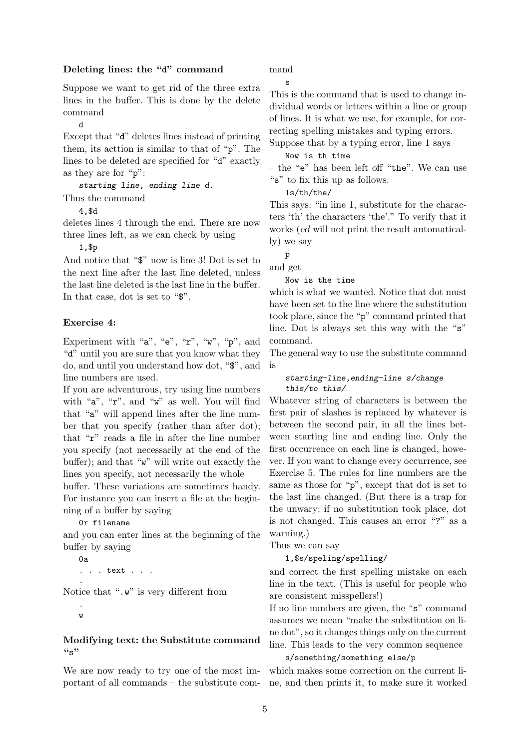#### Deleting lines: the "d" command

mand

s

Suppose we want to get rid of the three extra lines in the buffer. This is done by the delete command

d

Except that "d" deletes lines instead of printing them, its acttion is similar to that of "p". The lines to be deleted are specified for "d" exactly as they are for "p":

starting line, ending line d.

Thus the command

4,\$d

deletes lines 4 through the end. There are now three lines left, as we can check by using

1,\$p

And notice that "\$" now is line 3! Dot is set to the next line after the last line deleted, unless the last line deleted is the last line in the buffer. In that case, dot is set to "\$".

#### Exercise 4:

Experiment with "a", "e", "r", "w", "p", and "d" until you are sure that you know what they do, and until you understand how dot, "\$", and line numbers are used.

If you are adventurous, try using line numbers with "a", "r", and "w" as well. You will find that "a" will append lines after the line number that you specify (rather than after dot); that "r" reads a file in after the line number you specify (not necessarily at the end of the buffer); and that "w" will write out exactly the lines you specify, not necessarily the whole

buffer. These variations are sometimes handy. For instance you can insert a file at the beginning of a buffer by saying

#### 0r filename

and you can enter lines at the beginning of the buffer by saying

0a . . . text . . .

. Notice that ".w" is very different from

```
.
w
```
#### Modifying text: the Substitute command  $"$   $"$

We are now ready to try one of the most important of all commands – the substitute com-ne, and then prints it, to make sure it worked

This is the command that is used to change individual words or letters within a line or group of lines. It is what we use, for example, for correcting spelling mistakes and typing errors.

Suppose that by a typing error, line 1 says

Now is th time

– the "e" has been left off "the". We can use "s" to fix this up as follows:

#### 1s/th/the/

This says: "in line 1, substitute for the characters 'th' the characters 'the'." To verify that it works (ed will not print the result automatically) we say

p

and get

Now is the time

which is what we wanted. Notice that dot must have been set to the line where the substitution took place, since the "p" command printed that line. Dot is always set this way with the "s" command.

The general way to use the substitute command is

#### starting-line,ending-line s/change this/to this/

Whatever string of characters is between the first pair of slashes is replaced by whatever is between the second pair, in all the lines between starting line and ending line. Only the first occurrence on each line is changed, however. If you want to change every occurrence, see Exercise 5. The rules for line numbers are the same as those for "p", except that dot is set to the last line changed. (But there is a trap for the unwary: if no substitution took place, dot is not changed. This causes an error "?" as a warning.)

Thus we can say

1,\$s/speling/spelling/

and correct the first spelling mistake on each line in the text. (This is useful for people who are consistent misspellers!)

If no line numbers are given, the "s" command assumes we mean "make the substitution on line dot", so it changes things only on the current line. This leads to the very common sequence

#### s/something/something else/p

which makes some correction on the current li-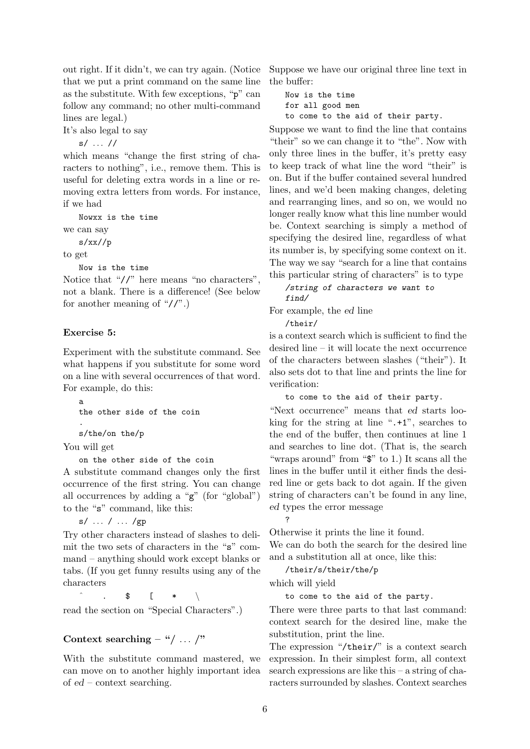out right. If it didn't, we can try again. (Notice that we put a print command on the same line as the substitute. With few exceptions, "p" can follow any command; no other multi-command lines are legal.)

It's also legal to say

 $s/$  ... //

which means "change the first string of characters to nothing", i.e., remove them. This is useful for deleting extra words in a line or removing extra letters from words. For instance, if we had

Nowxx is the time

we can say

s/xx//p

to get

Now is the time

Notice that "//" here means "no characters" not a blank. There is a difference! (See below for another meaning of  $\sqrt{\frac{7}{2}}$ .

### Exercise 5:

Experiment with the substitute command. See what happens if you substitute for some word on a line with several occurrences of that word. For example, do this:

a the other side of the coin . s/the/on the/p

You will get

on the other side of the coin

A substitute command changes only the first occurrence of the first string. You can change all occurrences by adding a "g" (for "global") to the "s" command, like this:

s/ ... / ... /gp

Try other characters instead of slashes to delimit the two sets of characters in the "s" command – anything should work except blanks or tabs. (If you get funny results using any of the characters

 $\hat{z}$  . \$ [  $*$  \ read the section on "Special Characters".)

### Context searching – "/  $\ldots$  /"

With the substitute command mastered, we can move on to another highly important idea of ed – context searching.

Suppose we have our original three line text in the buffer:

Now is the time for all good men to come to the aid of their party.

Suppose we want to find the line that contains "their" so we can change it to "the". Now with only three lines in the buffer, it's pretty easy to keep track of what line the word "their" is on. But if the buffer contained several hundred lines, and we'd been making changes, deleting and rearranging lines, and so on, we would no longer really know what this line number would be. Context searching is simply a method of specifying the desired line, regardless of what its number is, by specifying some context on it. The way we say "search for a line that contains this particular string of characters" is to type

/string of characters we want to find/

For example, the ed line

/their/

is a context search which is sufficient to find the desired line – it will locate the next occurrence of the characters between slashes ("their"). It also sets dot to that line and prints the line for verification:

to come to the aid of their party.

"Next occurrence" means that ed starts looking for the string at line ".+1", searches to the end of the buffer, then continues at line 1 and searches to line dot. (That is, the search "wraps around" from "\$" to 1.) It scans all the lines in the buffer until it either finds the desired line or gets back to dot again. If the given string of characters can't be found in any line, ed types the error message

?

Otherwise it prints the line it found. We can do both the search for the desired line and a substitution all at once, like this:

/their/s/their/the/p which will yield

to come to the aid of the party.

There were three parts to that last command: context search for the desired line, make the substitution, print the line.

The expression "/their/" is a context search expression. In their simplest form, all context search expressions are like this – a string of characters surrounded by slashes. Context searches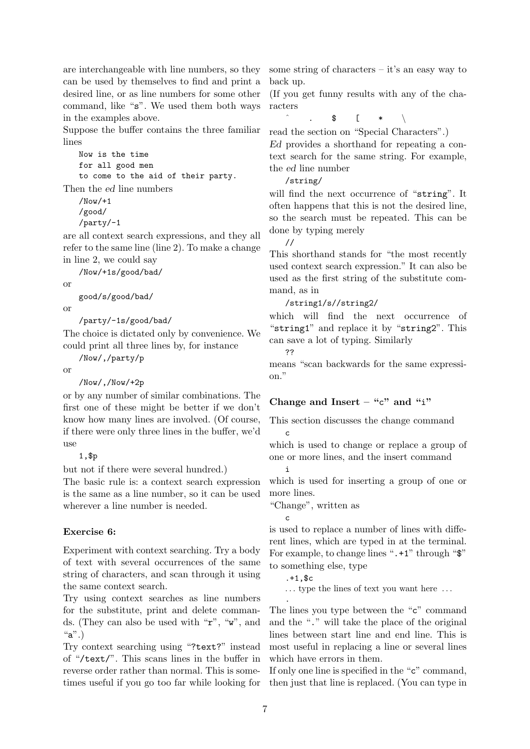are interchangeable with line numbers, so they can be used by themselves to find and print a desired line, or as line numbers for some other command, like "s". We used them both ways in the examples above.

Suppose the buffer contains the three familiar lines

Now is the time for all good men to come to the aid of their party.

Then the ed line numbers

```
/Now/+1/good/
/party/-1
```
are all context search expressions, and they all refer to the same line (line 2). To make a change in line 2, we could say

/Now/+1s/good/bad/

or

good/s/good/bad/

or

/party/-1s/good/bad/

The choice is dictated only by convenience. We could print all three lines by, for instance

or

/Now/,/Now/+2p

/Now/,/party/p

or by any number of similar combinations. The first one of these might be better if we don't know how many lines are involved. (Of course, if there were only three lines in the buffer, we'd use

1,\$p

but not if there were several hundred.)

The basic rule is: a context search expression is the same as a line number, so it can be used wherever a line number is needed.

# Exercise 6:

Experiment with context searching. Try a body of text with several occurrences of the same string of characters, and scan through it using the same context search.

Try using context searches as line numbers for the substitute, print and delete commands. (They can also be used with "r", "w", and "a".)

Try context searching using "?text?" instead of "/text/". This scans lines in the buffer in reverse order rather than normal. This is sometimes useful if you go too far while looking for some string of characters – it's an easy way to back up.

(If you get funny results with any of the characters

 $\hat{z}$  . \$ [  $*$  \

read the section on "Special Characters".)

Ed provides a shorthand for repeating a context search for the same string. For example, the ed line number

# /string/

will find the next occurrence of "string". It often happens that this is not the desired line, so the search must be repeated. This can be done by typing merely

//

This shorthand stands for "the most recently used context search expression." It can also be used as the first string of the substitute command, as in

# /string1/s//string2/

which will find the next occurrence of "string1" and replace it by "string2". This can save a lot of typing. Similarly

??

means "scan backwards for the same expression."

# Change and Insert – " $c$ " and "i"

This section discusses the change command c

which is used to change or replace a group of one or more lines, and the insert command i

which is used for inserting a group of one or more lines.

"Change", written as

c

is used to replace a number of lines with different lines, which are typed in at the terminal. For example, to change lines ".+1" through " $\mathcal{F}$ " to something else, type

.+1,\$c ... type the lines of text you want here ... .

The lines you type between the "c" command and the "." will take the place of the original lines between start line and end line. This is most useful in replacing a line or several lines which have errors in them.

If only one line is specified in the "c" command, then just that line is replaced. (You can type in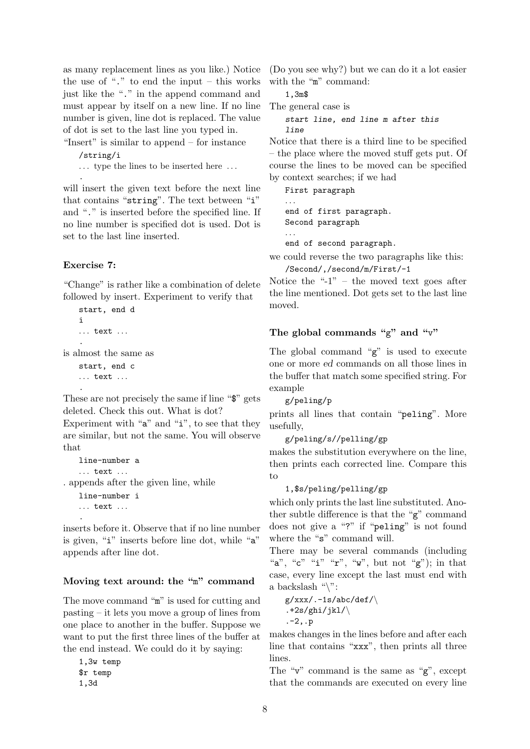as many replacement lines as you like.) Notice the use of " $\cdot$ " to end the input – this works just like the "." in the append command and must appear by itself on a new line. If no line number is given, line dot is replaced. The value of dot is set to the last line you typed in.

"Insert" is similar to append – for instance

/string/i

.

 $\ldots$  type the lines to be inserted here  $\ldots$ 

will insert the given text before the next line that contains "string". The text between "i" and "." is inserted before the specified line. If no line number is specified dot is used. Dot is set to the last line inserted.

#### Exercise 7:

"Change" is rather like a combination of delete followed by insert. Experiment to verify that

start, end d i . . . text . . . .

is almost the same as

start, end c . . . text . . .

.

.

These are not precisely the same if line "\$" gets deleted. Check this out. What is dot?

Experiment with "a" and "i", to see that they are similar, but not the same. You will observe that

```
line-number a
   . . . text . . .
. appends after the given line, while
   line-number i
    . . . text . . .
```
inserts before it. Observe that if no line number is given, "i" inserts before line dot, while "a" appends after line dot.

#### Moving text around: the "m" command

The move command "m" is used for cutting and pasting – it lets you move a group of lines from one place to another in the buffer. Suppose we want to put the first three lines of the buffer at the end instead. We could do it by saying:

1,3w temp \$r temp 1,3d

(Do you see why?) but we can do it a lot easier with the "m" command:

```
1,3m$
```
The general case is

```
start line, end line m after this
line
```
Notice that there is a third line to be specified – the place where the moved stuff gets put. Of course the lines to be moved can be specified by context searches; if we had

First paragraph . . . end of first paragraph. Second paragraph . . . end of second paragraph.

we could reverse the two paragraphs like this:

/Second/,/second/m/First/-1 Notice the "-1" – the moved text goes after the line mentioned. Dot gets set to the last line

# The global commands "g" and "v"

The global command "g" is used to execute one or more ed commands on all those lines in the buffer that match some specified string. For example

#### g/peling/p

moved.

prints all lines that contain "peling". More usefully,

```
g/peling/s//pelling/gp
```
makes the substitution everywhere on the line, then prints each corrected line. Compare this to

#### 1,\$s/peling/pelling/gp

which only prints the last line substituted. Another subtle difference is that the "g" command does not give a "?" if "peling" is not found where the "s" command will.

There may be several commands (including "a", "c" "i" "r", "w", but not "g"); in that case, every line except the last must end with a backslash " $\langle$ ":

```
g/xxx/.-1s/abc/def/. +2s/ghi/jkl/\n.-2,.p
```
makes changes in the lines before and after each line that contains "xxx", then prints all three lines.

The "v" command is the same as "g", except that the commands are executed on every line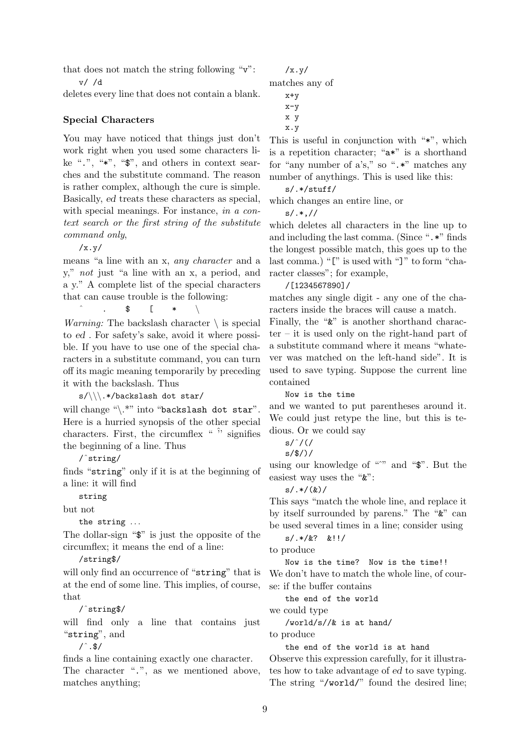that does not match the string following "v": v/ /d

deletes every line that does not contain a blank.

#### Special Characters

You may have noticed that things just don't work right when you used some characters like " $\cdot$ ", " $\cdot$ ", " $\cdot$ "", and others in context searches and the substitute command. The reason is rather complex, although the cure is simple. Basically, ed treats these characters as special, with special meanings. For instance, in a context search or the first string of the substitute command only,

/x.y/

means "a line with an x, any character and a y," not just "a line with an x, a period, and a y." A complete list of the special characters that can cause trouble is the following:

```
\hat{z} . $ [ * \
```
*Warning:* The backslash character  $\setminus$  is special to ed . For safety's sake, avoid it where possible. If you have to use one of the special characters in a substitute command, you can turn off its magic meaning temporarily by preceding it with the backslash. Thus

s/\\\.\*/backslash dot star/

will change "\.\*" into "backslash dot star". Here is a hurried synopsis of the other special characters. First, the circumflex  $\alpha$ <sup>3</sup> signifies the beginning of a line. Thus

/ˆstring/

finds "string" only if it is at the beginning of a line: it will find

string

but not

the string ...

The dollar-sign "\$" is just the opposite of the circumflex; it means the end of a line:

/string\$/

will only find an occurrence of "string" that is at the end of some line. This implies, of course, that

/ˆstring\$/

will find only a line that contains just "string", and

 $/$   $\hat{\mathcal{S}}$ 

finds a line containing exactly one character. The character ".", as we mentioned above, matches anything;

```
/x.y/matches any of
   x+y
   x-yx y
   x.y
```
This is useful in conjunction with "\*", which is a repetition character; "a\*" is a shorthand for "any number of a's," so ".\*" matches any number of anythings. This is used like this:

s/.\*/stuff/

which changes an entire line, or

 $s/.*,//$ 

which deletes all characters in the line up to and including the last comma. (Since ".\*" finds the longest possible match, this goes up to the last comma.) "[" is used with "]" to form "character classes"; for example,

/[1234567890]/

matches any single digit - any one of the characters inside the braces will cause a match.

Finally, the " $x$ " is another shorthand character – it is used only on the right-hand part of a substitute command where it means "whatever was matched on the left-hand side". It is used to save typing. Suppose the current line contained

Now is the time

and we wanted to put parentheses around it. We could just retype the line, but this is tedious. Or we could say

```
s/^2/(
```
 $s/(1)/$ 

using our knowledge of "<sup>\*</sup>" and " $\mathbf{\hat{s}}$ ". But the easiest way uses the "&":

 $s/.*/(k)/$ 

This says "match the whole line, and replace it by itself surrounded by parens." The "&" can be used several times in a line; consider using

s/.\*/&? &!!/

to produce

Now is the time? Now is the time!! We don't have to match the whole line, of course: if the buffer contains

the end of the world we could type

/world/s//& is at hand/

to produce

the end of the world is at hand

Observe this expression carefully, for it illustrates how to take advantage of ed to save typing. The string "/world/" found the desired line;